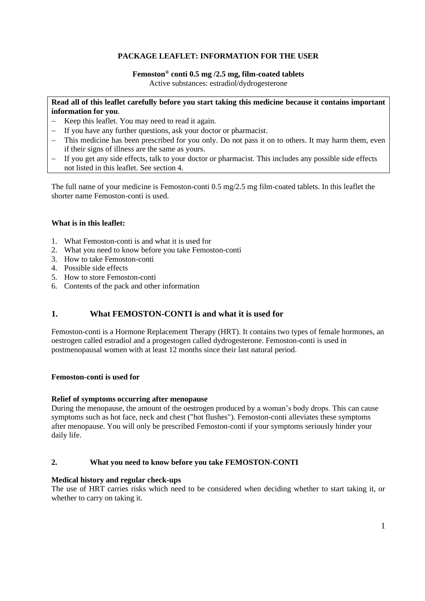# **PACKAGE LEAFLET: INFORMATION FOR THE USER**

## **Femoston® conti 0.5 mg /2.5 mg, film-coated tablets**

Active substances: estradiol/dydrogesterone

## **Read all of this leaflet carefully before you start taking this medicine because it contains important information for you**.

- − Keep this leaflet. You may need to read it again.
- − If you have any further questions, ask your doctor or pharmacist.
- This medicine has been prescribed for you only. Do not pass it on to others. It may harm them, even if their signs of illness are the same as yours.
- If you get any side effects, talk to your doctor or pharmacist. This includes any possible side effects not listed in this leaflet. See section 4.

The full name of your medicine is Femoston-conti 0.5 mg/2.5 mg film-coated tablets. In this leaflet the shorter name Femoston-conti is used.

## **What is in this leaflet:**

- 1. What Femoston-conti is and what it is used for
- 2. What you need to know before you take Femoston-conti
- 3. How to take Femoston-conti
- 4. Possible side effects
- 5. How to store Femoston-conti
- 6. Contents of the pack and other information

# **1. What FEMOSTON-CONTI is and what it is used for**

Femoston-conti is a Hormone Replacement Therapy (HRT). It contains two types of female hormones, an oestrogen called estradiol and a progestogen called dydrogesterone. Femoston-conti is used in postmenopausal women with at least 12 months since their last natural period.

### **Femoston-conti is used for**

### **Relief of symptoms occurring after menopause**

During the menopause, the amount of the oestrogen produced by a woman's body drops. This can cause symptoms such as hot face, neck and chest ("hot flushes"). Femoston-conti alleviates these symptoms after menopause. You will only be prescribed Femoston-conti if your symptoms seriously hinder your daily life.

### **2. What you need to know before you take FEMOSTON-CONTI**

### **Medical history and regular check-ups**

The use of HRT carries risks which need to be considered when deciding whether to start taking it, or whether to carry on taking it.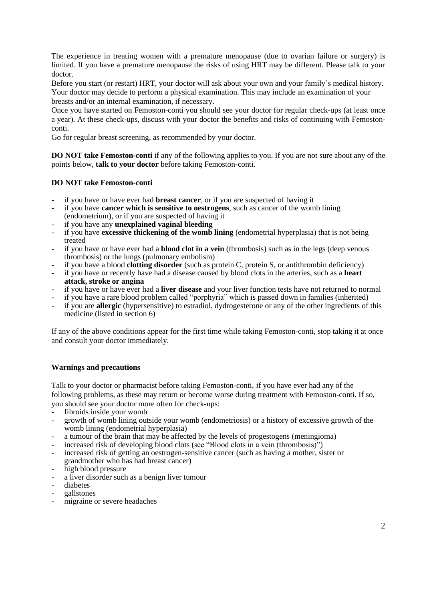The experience in treating women with a premature menopause (due to ovarian failure or surgery) is limited. If you have a premature menopause the risks of using HRT may be different. Please talk to your doctor.

Before you start (or restart) HRT, your doctor will ask about your own and your family's medical history. Your doctor may decide to perform a physical examination. This may include an examination of your breasts and/or an internal examination, if necessary.

Once you have started on Femoston-conti you should see your doctor for regular check-ups (at least once a year). At these check-ups, discuss with your doctor the benefits and risks of continuing with Femostonconti.

Go for regular breast screening, as recommended by your doctor.

**DO NOT take Femoston-conti** if any of the following applies to you. If you are not sure about any of the points below, **talk to your doctor** before taking Femoston-conti.

## **DO NOT take Femoston-conti**

- if you have or have ever had **breast cancer**, or if you are suspected of having it
- if you have **cancer which is sensitive to oestrogens**, such as cancer of the womb lining (endometrium), or if you are suspected of having it
- if you have any **unexplained vaginal bleeding**
- if you have **excessive thickening of the womb lining** (endometrial hyperplasia) that is not being treated
- if you have or have ever had a **blood clot in a vein** (thrombosis) such as in the legs (deep venous thrombosis) or the lungs (pulmonary embolism)
- if you have a blood **clotting disorder** (such as protein C, protein S, or antithrombin deficiency)
- if you have or recently have had a disease caused by blood clots in the arteries, such as a **heart attack, stroke or angina**
- if you have or have ever had a **liver disease** and your liver function tests have not returned to normal
- if you have a rare blood problem called "porphyria" which is passed down in families (inherited)
- if you are **allergic** (hypersensitive) to estradiol, dydrogesterone or any of the other ingredients of this medicine (listed in section 6)

If any of the above conditions appear for the first time while taking Femoston-conti, stop taking it at once and consult your doctor immediately.

### **Warnings and precautions**

Talk to your doctor or pharmacist before taking Femoston-conti, if you have ever had any of the following problems, as these may return or become worse during treatment with Femoston-conti. If so, you should see your doctor more often for check-ups:

- fibroids inside your womb
- growth of womb lining outside your womb (endometriosis) or a history of excessive growth of the womb lining (endometrial hyperplasia)
- a tumour of the brain that may be affected by the levels of progestogens (meningioma)
- increased risk of developing blood clots (see "Blood clots in a vein (thrombosis)")
- increased risk of getting an oestrogen-sensitive cancer (such as having a mother, sister or grandmother who has had breast cancer)
- high blood pressure
- a liver disorder such as a benign liver tumour
- diabetes
- gallstones
- migraine or severe headaches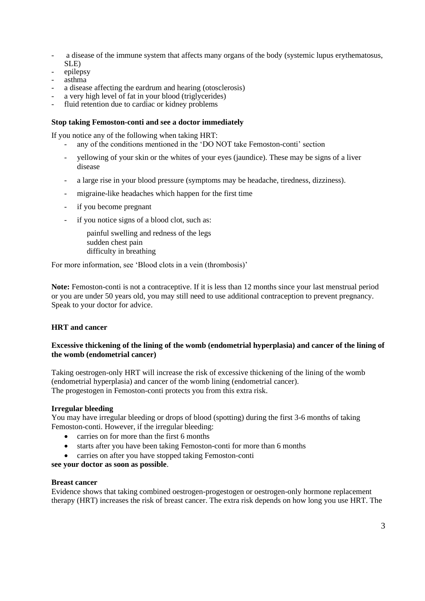- a disease of the immune system that affects many organs of the body (systemic lupus erythematosus, SLE)
- epilepsy
- asthma
- a disease affecting the eardrum and hearing (otosclerosis)
- a very high level of fat in your blood (triglycerides)
- fluid retention due to cardiac or kidney problems

## **Stop taking Femoston-conti and see a doctor immediately**

If you notice any of the following when taking HRT:

- any of the conditions mentioned in the 'DO NOT take Femoston-conti' section
- yellowing of your skin or the whites of your eyes (jaundice). These may be signs of a liver disease
- a large rise in your blood pressure (symptoms may be headache, tiredness, dizziness).
- migraine-like headaches which happen for the first time
- if you become pregnant
- if you notice signs of a blood clot, such as:

painful swelling and redness of the legs sudden chest pain difficulty in breathing

For more information, see 'Blood clots in a vein (thrombosis)'

**Note:** Femoston-conti is not a contraceptive. If it is less than 12 months since your last menstrual period or you are under 50 years old, you may still need to use additional contraception to prevent pregnancy. Speak to your doctor for advice.

# **HRT and cancer**

## **Excessive thickening of the lining of the womb (endometrial hyperplasia) and cancer of the lining of the womb (endometrial cancer)**

Taking oestrogen-only HRT will increase the risk of excessive thickening of the lining of the womb (endometrial hyperplasia) and cancer of the womb lining (endometrial cancer). The progestogen in Femoston-conti protects you from this extra risk.

### **Irregular bleeding**

You may have irregular bleeding or drops of blood (spotting) during the first 3-6 months of taking Femoston-conti. However, if the irregular bleeding:

- carries on for more than the first 6 months
- starts after you have been taking Femoston-conti for more than 6 months
- carries on after you have stopped taking Femoston-conti

**see your doctor as soon as possible**.

### **Breast cancer**

Evidence shows that taking combined oestrogen-progestogen or oestrogen-only hormone replacement therapy (HRT) increases the risk of breast cancer. The extra risk depends on how long you use HRT. The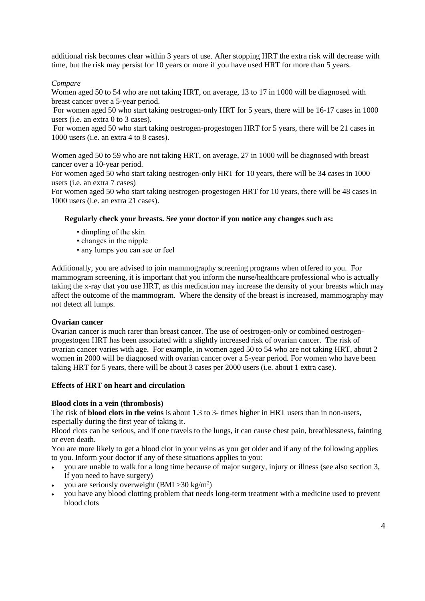additional risk becomes clear within 3 years of use. After stopping HRT the extra risk will decrease with time, but the risk may persist for 10 years or more if you have used HRT for more than 5 years.

## *Compare*

Women aged 50 to 54 who are not taking HRT, on average, 13 to 17 in 1000 will be diagnosed with breast cancer over a 5-year period.

For women aged 50 who start taking oestrogen-only HRT for 5 years, there will be 16-17 cases in 1000 users (i.e. an extra 0 to 3 cases).

For women aged 50 who start taking oestrogen-progestogen HRT for 5 years, there will be 21 cases in 1000 users (i.e. an extra 4 to 8 cases).

Women aged 50 to 59 who are not taking HRT, on average, 27 in 1000 will be diagnosed with breast cancer over a 10-year period.

For women aged 50 who start taking oestrogen-only HRT for 10 years, there will be 34 cases in 1000 users (i.e. an extra 7 cases)

For women aged 50 who start taking oestrogen-progestogen HRT for 10 years, there will be 48 cases in 1000 users (i.e. an extra 21 cases).

### **Regularly check your breasts. See your doctor if you notice any changes such as:**

- dimpling of the skin
- changes in the nipple
- any lumps you can see or feel

Additionally, you are advised to join mammography screening programs when offered to you. For mammogram screening, it is important that you inform the nurse/healthcare professional who is actually taking the x-ray that you use HRT, as this medication may increase the density of your breasts which may affect the outcome of the mammogram. Where the density of the breast is increased, mammography may not detect all lumps.

#### **Ovarian cancer**

Ovarian cancer is much rarer than breast cancer. The use of oestrogen-only or combined oestrogenprogestogen HRT has been associated with a slightly increased risk of ovarian cancer. The risk of ovarian cancer varies with age. For example, in women aged 50 to 54 who are not taking HRT, about 2 women in 2000 will be diagnosed with ovarian cancer over a 5-year period. For women who have been taking HRT for 5 years, there will be about 3 cases per 2000 users (i.e. about 1 extra case).

## **Effects of HRT on heart and circulation**

### **Blood clots in a vein (thrombosis)**

The risk of **blood clots in the veins** is about 1.3 to 3- times higher in HRT users than in non-users, especially during the first year of taking it.

Blood clots can be serious, and if one travels to the lungs, it can cause chest pain, breathlessness, fainting or even death.

You are more likely to get a blood clot in your veins as you get older and if any of the following applies to you. Inform your doctor if any of these situations applies to you:

- you are unable to walk for a long time because of major surgery, injury or illness (see also section 3, If you need to have surgery)
- you are seriously overweight  $(BMI > 30 \text{ kg/m}^2)$
- you have any blood clotting problem that needs long-term treatment with a medicine used to prevent blood clots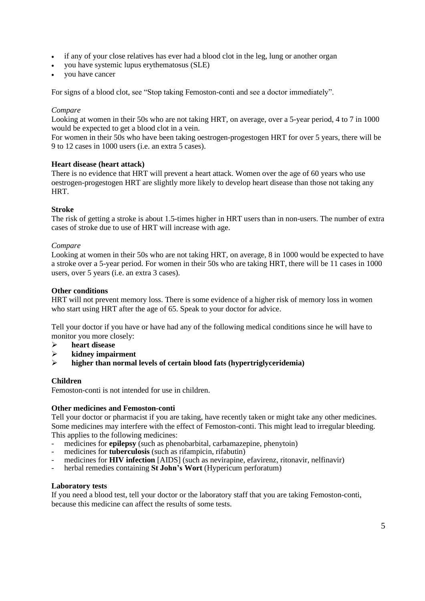- if any of your close relatives has ever had a blood clot in the leg, lung or another organ
- you have systemic lupus erythematosus (SLE)
- you have cancer

For signs of a blood clot, see "Stop taking Femoston-conti and see a doctor immediately".

#### *Compare*

Looking at women in their 50s who are not taking HRT, on average, over a 5-year period, 4 to 7 in 1000 would be expected to get a blood clot in a vein.

For women in their 50s who have been taking oestrogen-progestogen HRT for over 5 years, there will be 9 to 12 cases in 1000 users (i.e. an extra 5 cases).

#### **Heart disease (heart attack)**

There is no evidence that HRT will prevent a heart attack. Women over the age of 60 years who use oestrogen-progestogen HRT are slightly more likely to develop heart disease than those not taking any HRT.

#### **Stroke**

The risk of getting a stroke is about 1.5-times higher in HRT users than in non-users. The number of extra cases of stroke due to use of HRT will increase with age.

#### *Compare*

Looking at women in their 50s who are not taking HRT, on average, 8 in 1000 would be expected to have a stroke over a 5-year period. For women in their 50s who are taking HRT, there will be 11 cases in 1000 users, over 5 years (i.e. an extra 3 cases).

#### **Other conditions**

HRT will not prevent memory loss. There is some evidence of a higher risk of memory loss in women who start using HRT after the age of 65. Speak to your doctor for advice.

Tell your doctor if you have or have had any of the following medical conditions since he will have to monitor you more closely:

- ➢ **heart disease**
- ➢ **kidney impairment**
- ➢ **higher than normal levels of certain blood fats (hypertriglyceridemia)**

### **Children**

Femoston-conti is not intended for use in children.

### **Other medicines and Femoston-conti**

Tell your doctor or pharmacist if you are taking, have recently taken or might take any other medicines. Some medicines may interfere with the effect of Femoston-conti. This might lead to irregular bleeding. This applies to the following medicines:

- medicines for **epilepsy** (such as phenobarbital, carbamazepine, phenytoin)
- medicines for **tuberculosis** (such as rifampicin, rifabutin)
- medicines for **HIV infection** [AIDS] (such as nevirapine, efavirenz, ritonavir, nelfinavir)
- herbal remedies containing **St John's Wort** (Hypericum perforatum)

#### **Laboratory tests**

If you need a blood test, tell your doctor or the laboratory staff that you are taking Femoston-conti, because this medicine can affect the results of some tests.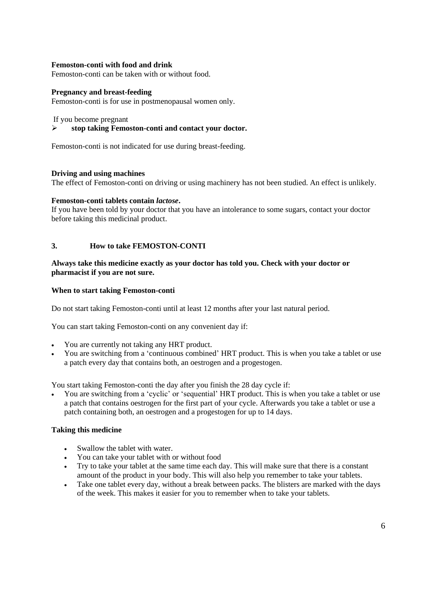## **Femoston-conti with food and drink**

Femoston-conti can be taken with or without food.

### **Pregnancy and breast-feeding**

Femoston-conti is for use in postmenopausal women only.

If you become pregnant

### ➢ **stop taking Femoston-conti and contact your doctor.**

Femoston-conti is not indicated for use during breast-feeding.

#### **Driving and using machines**

The effect of Femoston-conti on driving or using machinery has not been studied. An effect is unlikely.

#### **Femoston-conti tablets contain** *lactose***.**

If you have been told by your doctor that you have an intolerance to some sugars, contact your doctor before taking this medicinal product.

### **3. How to take FEMOSTON-CONTI**

### **Always take this medicine exactly as your doctor has told you. Check with your doctor or pharmacist if you are not sure.**

#### **When to start taking Femoston-conti**

Do not start taking Femoston-conti until at least 12 months after your last natural period.

You can start taking Femoston-conti on any convenient day if:

- You are currently not taking any HRT product.
- You are switching from a 'continuous combined' HRT product. This is when you take a tablet or use a patch every day that contains both, an oestrogen and a progestogen.

You start taking Femoston-conti the day after you finish the 28 day cycle if:

• You are switching from a 'cyclic' or 'sequential' HRT product. This is when you take a tablet or use a patch that contains oestrogen for the first part of your cycle. Afterwards you take a tablet or use a patch containing both, an oestrogen and a progestogen for up to 14 days.

### **Taking this medicine**

- Swallow the tablet with water.
- You can take your tablet with or without food
- Try to take your tablet at the same time each day. This will make sure that there is a constant amount of the product in your body. This will also help you remember to take your tablets.
- Take one tablet every day, without a break between packs. The blisters are marked with the days of the week. This makes it easier for you to remember when to take your tablets.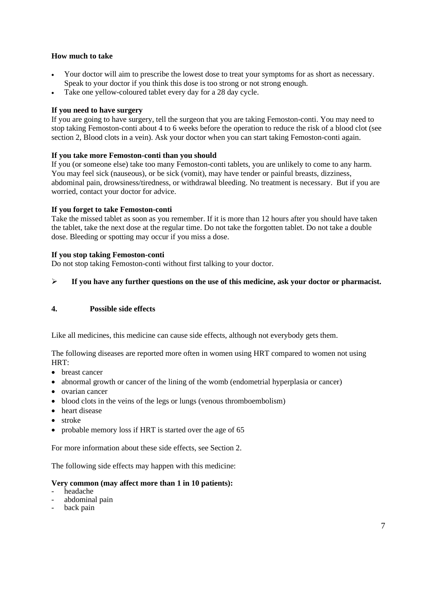## **How much to take**

- Your doctor will aim to prescribe the lowest dose to treat your symptoms for as short as necessary. Speak to your doctor if you think this dose is too strong or not strong enough.
- Take one yellow-coloured tablet every day for a 28 day cycle.

## **If you need to have surgery**

If you are going to have surgery, tell the surgeon that you are taking Femoston-conti. You may need to stop taking Femoston-conti about 4 to 6 weeks before the operation to reduce the risk of a blood clot (see section 2, Blood clots in a vein). Ask your doctor when you can start taking Femoston-conti again.

## **If you take more Femoston-conti than you should**

If you (or someone else) take too many Femoston-conti tablets, you are unlikely to come to any harm. You may feel sick (nauseous), or be sick (vomit), may have tender or painful breasts, dizziness, abdominal pain, drowsiness/tiredness, or withdrawal bleeding. No treatment is necessary. But if you are worried, contact your doctor for advice.

### **If you forget to take Femoston-conti**

Take the missed tablet as soon as you remember. If it is more than 12 hours after you should have taken the tablet, take the next dose at the regular time. Do not take the forgotten tablet. Do not take a double dose. Bleeding or spotting may occur if you miss a dose.

### **If you stop taking Femoston-conti**

Do not stop taking Femoston-conti without first talking to your doctor.

## ➢ **If you have any further questions on the use of this medicine, ask your doctor or pharmacist.**

### **4. Possible side effects**

Like all medicines, this medicine can cause side effects, although not everybody gets them.

The following diseases are reported more often in women using HRT compared to women not using HRT:

- breast cancer
- abnormal growth or cancer of the lining of the womb (endometrial hyperplasia or cancer)
- ovarian cancer
- blood clots in the veins of the legs or lungs (venous thromboembolism)
- heart disease
- stroke
- probable memory loss if HRT is started over the age of 65

For more information about these side effects, see Section 2.

The following side effects may happen with this medicine:

## **Very common (may affect more than 1 in 10 patients):**

- headache
- abdominal pain
- back pain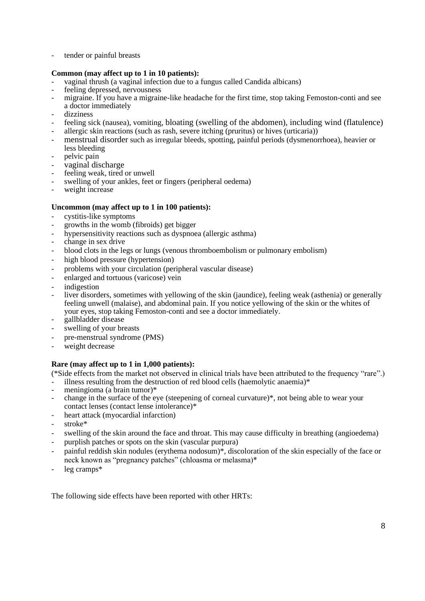tender or painful breasts

## **Common (may affect up to 1 in 10 patients):**

- vaginal thrush (a vaginal infection due to a fungus called Candida albicans)<br>feeling depressed nervousness
- feeling depressed, nervousness
- migraine. If you have a migraine-like headache for the first time, stop taking Femoston-conti and see a doctor immediately
- dizziness
- feeling sick (nausea), vomiting, bloating (swelling of the abdomen), including wind (flatulence)
- allergic skin reactions (such as rash, severe itching (pruritus) or hives (urticaria))
- menstrual disorder such as irregular bleeds, spotting, painful periods (dysmenorrhoea), heavier or less bleeding
- pelvic pain
- vaginal discharge
- feeling weak, tired or unwell<br>swelling of your ankles feet
- swelling of your ankles, feet or fingers (peripheral oedema)
- weight increase

## **Uncommon (may affect up to 1 in 100 patients):**

- cystitis-like symptoms
- growths in the womb (fibroids) get bigger
- hypersensitivity reactions such as dyspnoea (allergic asthma)
- change in sex drive
- blood clots in the legs or lungs (venous thromboembolism or pulmonary embolism)
- high blood pressure (hypertension)
- problems with your circulation (peripheral vascular disease)
- enlarged and tortuous (varicose) vein
- indigestion
- liver disorders, sometimes with yellowing of the skin (jaundice), feeling weak (asthenia) or generally feeling unwell (malaise), and abdominal pain. If you notice yellowing of the skin or the whites of your eyes, stop taking Femoston-conti and see a doctor immediately.
- gallbladder disease
- swelling of your breasts
- pre-menstrual syndrome (PMS)
- weight decrease

# **Rare (may affect up to 1 in 1,000 patients):**

(\*Side effects from the market not observed in clinical trials have been attributed to the frequency "rare".)

- illness resulting from the destruction of red blood cells (haemolytic anaemia) $*$
- meningioma (a brain tumor)\*
- change in the surface of the eye (steepening of corneal curvature)\*, not being able to wear your contact lenses (contact lense intolerance)\*
- heart attack (myocardial infarction)
- stroke\*
- swelling of the skin around the face and throat. This may cause difficulty in breathing (angioedema)
- purplish patches or spots on the skin (vascular purpura)
- painful reddish skin nodules (erythema nodosum)\*, discoloration of the skin especially of the face or neck known as "pregnancy patches" (chloasma or melasma)\*
- $leg$  cramps $*$

The following side effects have been reported with other HRTs: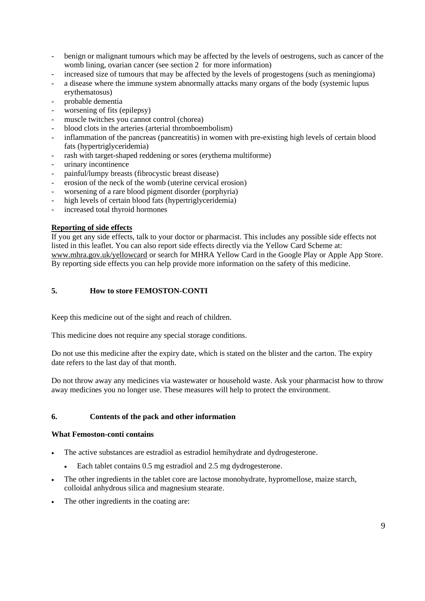- benign or malignant tumours which may be affected by the levels of oestrogens, such as cancer of the womb lining, ovarian cancer (see section 2 for more information)
- increased size of tumours that may be affected by the levels of progestogens (such as meningioma)
- a disease where the immune system abnormally attacks many organs of the body (systemic lupus erythematosus)
- probable dementia
- worsening of fits (epilepsy)
- muscle twitches you cannot control (chorea)
- blood clots in the arteries (arterial thromboembolism)
- inflammation of the pancreas (pancreatitis) in women with pre-existing high levels of certain blood fats (hypertriglyceridemia)
- rash with target-shaped reddening or sores (erythema multiforme)
- urinary incontinence
- painful/lumpy breasts (fibrocystic breast disease)
- erosion of the neck of the womb (uterine cervical erosion)
- worsening of a rare blood pigment disorder (porphyria)
- high levels of certain blood fats (hypertriglyceridemia)
- increased total thyroid hormones

### **Reporting of side effects**

If you get any side effects, talk to your doctor or pharmacist. This includes any possible side effects not listed in this leaflet. You can also report side effects directly via the Yellow Card Scheme at: www.mhra.gov.uk/yellowcard or search for MHRA Yellow Card in the Google Play or Apple App Store. By reporting side effects you can help provide more information on the safety of this medicine.

## **5. How to store FEMOSTON-CONTI**

Keep this medicine out of the sight and reach of children.

This medicine does not require any special storage conditions.

Do not use this medicine after the expiry date, which is stated on the blister and the carton. The expiry date refers to the last day of that month.

Do not throw away any medicines via wastewater or household waste. Ask your pharmacist how to throw away medicines you no longer use. These measures will help to protect the environment.

### **6. Contents of the pack and other information**

### **What Femoston-conti contains**

- The active substances are estradiol as estradiol hemihydrate and dydrogesterone.
	- Each tablet contains 0.5 mg estradiol and 2.5 mg dydrogesterone.
- The other ingredients in the tablet core are lactose monohydrate, hypromellose, maize starch, colloidal anhydrous silica and magnesium stearate.
- The other ingredients in the coating are: